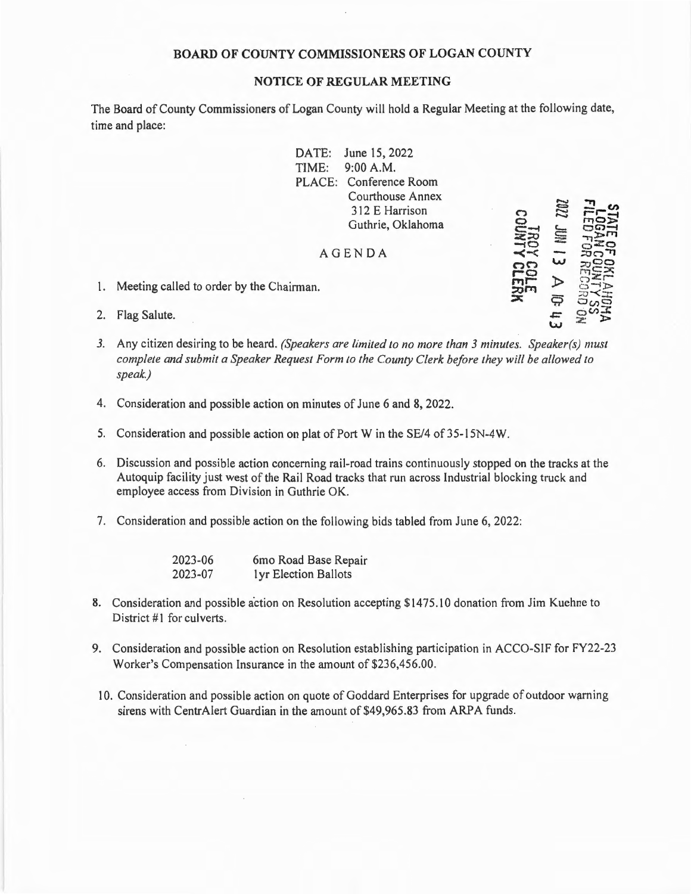## **BOARD OF COUNTY COMMISSIONERS OF LOGAN COUNTY**

## **NOTICE OF REGULAR MEETING**

The Board of County Commissioners of Logan County will hold a Regular Meeting at the following date, time and place:

> DATE: June 15, 2022 TIME: 9:00 A.M. PLACE: Conference Room Courthouse Annex 3 12 E Harrison Guthrie, Oklahoma AGENDA (") **0**   $\Xi$  $\Xi$ **z::o ATA**<br>208 **nn r-a ,.,,r- .:,,.,r-i,**   $\tilde{\mathbf{x}}$  $\overline{\phantom{a}}$  $\approx$ ........  $\ddot{\sim}$  $\cong$  $\Xi$ ;?.: **w**   $\triangleright$ ç,  $\pm$  $v =$ **r-i-:-1 F110**<br>**F100**<br>**F100**<br>**F10**<br>**F10**  $25$  $\frac{1}{20}$ **-JOO ''ex <b>z**<br>*z*<br>*z*<br>*z*  $C<sub>2</sub>$  $z_0$  -  $z$  $\Xi$ <sup>2</sup>  $C_{\text{C}} \sim 1$  $\geq$   $\geq$

**w** 

- 1. Meeting called to order by the Chairman.
- 2. Flag Salute.
- *3.* Any citizen desiring to be heard. *(Speakers are limited to no more than 3 minutes. Speaker(s) must complete and submit a Speaker Request Form to the County Clerk before they will be allowed to speak.)*
- 4. Consideration and possible action on minutes of June 6 and 8, 2022 .
- 5. Consideration and possible action on plat of Port W in the SE/4 of 35-15N-4W.
- 6. Discussion and possible action concerning rail-road trains continuously stopped on the tracks at the Autoquip facility just west of the Rail Road tracks that run across Industrial blocking truck and employee access from Division in Guthrie OK.
- 7. Consideration and possible action on the following bids tabled from June 6, 2022:

2023-06 2023-07 6mo Road Base Repair I yr Election Ballots

- 8. Consideration and possible action on Resolution accepting \$1475.10 donation from Jim Kuehne to District #1 for culverts.
- 9. Consideration and possible action on Resolution establishing participation in ACCO-SIF for FY22-23 Worker's Compensation Insurance in the amount of \$236,456.00.
- 10. Consideration and possible action on quote of Goddard Enterprises for upgrade of outdoor warning sirens with CentrAlert Guardian in the amount of \$49,965.83 from ARPA funds.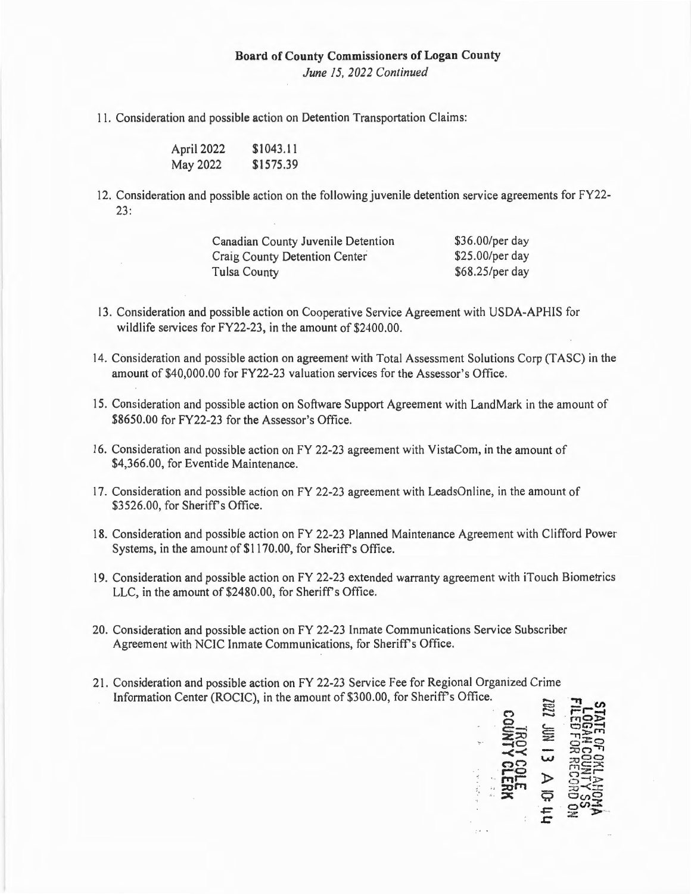## **Board of County Commissioners of Logan County**

*June 15, 2022 Continued* 

11. Consideration and possible action on Detention Transportation Claims:

April 2022 May 2022 \$1043 .11 \$1575.39

12. Consideration and possible action on the following juvenile detention service agreements for FY22-  $23:$ 

| Canadian County Juvenile Detention | \$36.00/per day |
|------------------------------------|-----------------|
| Craig County Detention Center      | \$25.00/per day |
| <b>Tulsa County</b>                | \$68.25/per day |

- 13. Consideration and possible action on Cooperative Service Agreement with USDA-APHIS for wildlife services for FY22-23, in the amount of \$2400.00.
- 14. Consideration and possible action on agreement with Total Assessment Solutions Corp (TASC) in the amount of \$40,000.00 for FY22-23 valuation services for the Assessor's Office.
- 15. Consideration and possible action on Software Support Agreement with LandMark in the amount of \$8650.00 for FY22-23 for the Assessor's Office.
- 16. Consideration and possible action on FY 22-23 agreement with VistaCom, in the amount of \$4,366.00, for Eventide Maintenance.
- 17. Consideration and possible action on FY 22-23 agreement with LeadsOnline, in the amount of \$3526.00, for Sheriff's Office.
- 18. Consideration and possible action on FY 22-23 Planned Maintenance Agreement with Clifford Power Systems, in the amount of \$1170.00, for Sheriff's Office.
- 19. Consideration and possible action on FY 22-23 extended warranty agreement with iTouch Biometrics LLC, in the amount of \$2480.00, for Sheriff's Office.
- 20. Consideration and possible action on FY 22-23 Inmate Communications Service Subscriber Agreement with NCIC Inmate Communications, for Sheriff's Office.
- 21. Consideration and possible action on FY 22-23 Service Fee for Regional Organized Crime Information Center (ROCIC), in the amount of \$300.00, for Sheriff's Office.